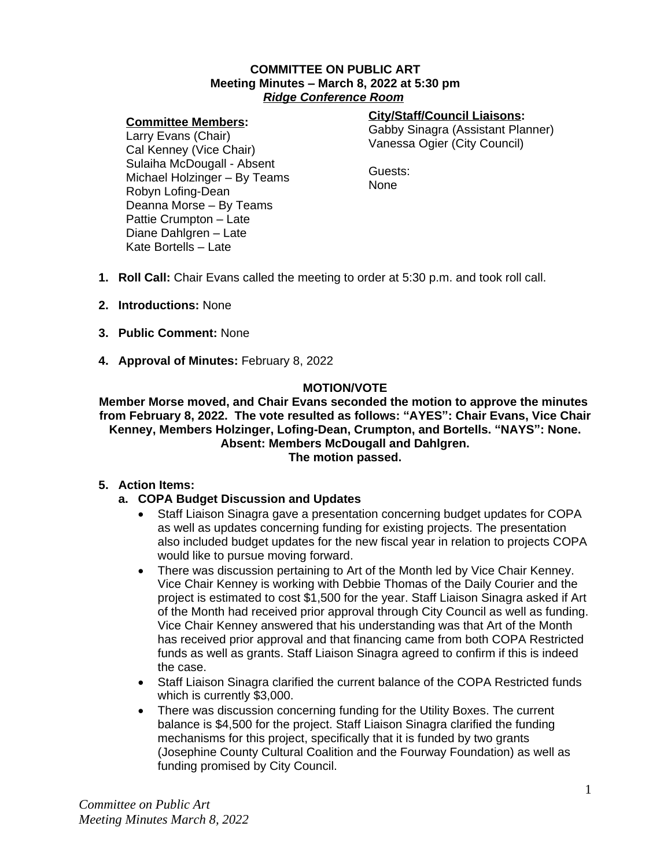#### **COMMITTEE ON PUBLIC ART Meeting Minutes – March 8, 2022 at 5:30 pm** *Ridge Conference Room*

## **Committee Members:**

## **City/Staff/Council Liaisons:**

Gabby Sinagra (Assistant Planner) Vanessa Ogier (City Council)

Larry Evans (Chair) Cal Kenney (Vice Chair) Sulaiha McDougall - Absent Michael Holzinger – By Teams Robyn Lofing-Dean Deanna Morse – By Teams Pattie Crumpton – Late Diane Dahlgren – Late Kate Bortells – Late

Guests: None

- **1. Roll Call:** Chair Evans called the meeting to order at 5:30 p.m. and took roll call.
- **2. Introductions:** None
- **3. Public Comment:** None
- **4. Approval of Minutes:** February 8, 2022

## **MOTION/VOTE**

**Member Morse moved, and Chair Evans seconded the motion to approve the minutes from February 8, 2022. The vote resulted as follows: "AYES": Chair Evans, Vice Chair Kenney, Members Holzinger, Lofing-Dean, Crumpton, and Bortells. "NAYS": None. Absent: Members McDougall and Dahlgren. The motion passed.**

## **5. Action Items:**

- **a. COPA Budget Discussion and Updates**
	- Staff Liaison Sinagra gave a presentation concerning budget updates for COPA as well as updates concerning funding for existing projects. The presentation also included budget updates for the new fiscal year in relation to projects COPA would like to pursue moving forward.
	- There was discussion pertaining to Art of the Month led by Vice Chair Kenney. Vice Chair Kenney is working with Debbie Thomas of the Daily Courier and the project is estimated to cost \$1,500 for the year. Staff Liaison Sinagra asked if Art of the Month had received prior approval through City Council as well as funding. Vice Chair Kenney answered that his understanding was that Art of the Month has received prior approval and that financing came from both COPA Restricted funds as well as grants. Staff Liaison Sinagra agreed to confirm if this is indeed the case.
	- Staff Liaison Sinagra clarified the current balance of the COPA Restricted funds which is currently \$3,000.
	- There was discussion concerning funding for the Utility Boxes. The current balance is \$4,500 for the project. Staff Liaison Sinagra clarified the funding mechanisms for this project, specifically that it is funded by two grants (Josephine County Cultural Coalition and the Fourway Foundation) as well as funding promised by City Council.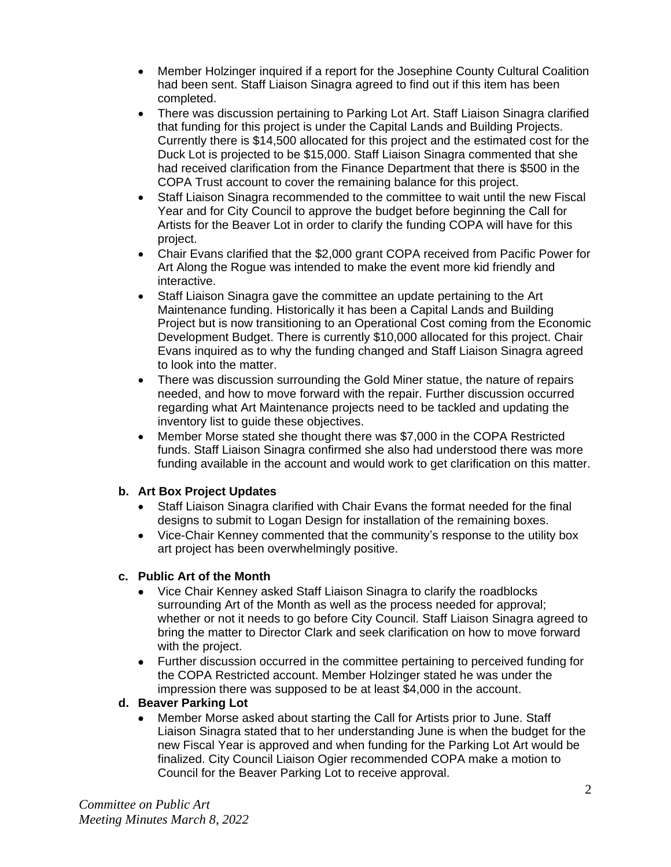- Member Holzinger inquired if a report for the Josephine County Cultural Coalition had been sent. Staff Liaison Sinagra agreed to find out if this item has been completed.
- There was discussion pertaining to Parking Lot Art. Staff Liaison Sinagra clarified that funding for this project is under the Capital Lands and Building Projects. Currently there is \$14,500 allocated for this project and the estimated cost for the Duck Lot is projected to be \$15,000. Staff Liaison Sinagra commented that she had received clarification from the Finance Department that there is \$500 in the COPA Trust account to cover the remaining balance for this project.
- Staff Liaison Sinagra recommended to the committee to wait until the new Fiscal Year and for City Council to approve the budget before beginning the Call for Artists for the Beaver Lot in order to clarify the funding COPA will have for this project.
- Chair Evans clarified that the \$2,000 grant COPA received from Pacific Power for Art Along the Rogue was intended to make the event more kid friendly and interactive.
- Staff Liaison Sinagra gave the committee an update pertaining to the Art Maintenance funding. Historically it has been a Capital Lands and Building Project but is now transitioning to an Operational Cost coming from the Economic Development Budget. There is currently \$10,000 allocated for this project. Chair Evans inquired as to why the funding changed and Staff Liaison Sinagra agreed to look into the matter.
- There was discussion surrounding the Gold Miner statue, the nature of repairs needed, and how to move forward with the repair. Further discussion occurred regarding what Art Maintenance projects need to be tackled and updating the inventory list to guide these objectives.
- Member Morse stated she thought there was \$7,000 in the COPA Restricted funds. Staff Liaison Sinagra confirmed she also had understood there was more funding available in the account and would work to get clarification on this matter.

# **b. Art Box Project Updates**

- Staff Liaison Sinagra clarified with Chair Evans the format needed for the final designs to submit to Logan Design for installation of the remaining boxes.
- Vice-Chair Kenney commented that the community's response to the utility box art project has been overwhelmingly positive.

# **c. Public Art of the Month**

- Vice Chair Kenney asked Staff Liaison Sinagra to clarify the roadblocks surrounding Art of the Month as well as the process needed for approval; whether or not it needs to go before City Council. Staff Liaison Sinagra agreed to bring the matter to Director Clark and seek clarification on how to move forward with the project.
- Further discussion occurred in the committee pertaining to perceived funding for the COPA Restricted account. Member Holzinger stated he was under the impression there was supposed to be at least \$4,000 in the account.

# **d. Beaver Parking Lot**

 Member Morse asked about starting the Call for Artists prior to June. Staff Liaison Sinagra stated that to her understanding June is when the budget for the new Fiscal Year is approved and when funding for the Parking Lot Art would be finalized. City Council Liaison Ogier recommended COPA make a motion to Council for the Beaver Parking Lot to receive approval.